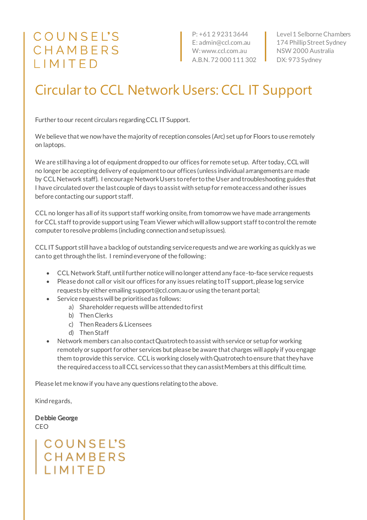## COUNSEL'S CHAMBERS IMITED

P: +61 2 9231 3644 E: admin@ccl.com.au W: www.ccl.com.au A.B.N. 72 000 111 302

Level 1 Selborne Chambers 174 Phillip Street Sydney NSW 2000 Australia DX: 973 Sydney

## Circular to CCL Network Users: CCL IT Support

Further to our recent circulars regarding CCL IT Support.

We believe that we now have the majority of reception consoles (Arc) set up for Floors to use remotely on laptops.

We are still having a lot of equipment dropped to our offices for remote set up. After today, CCL will no longer be accepting delivery of equipment to our offices (unless individual arrangements are made by CCL Network staff). I encourage Network Users to refer to the User and troubleshooting guides that I have circulated over the last couple of days to assist with setup for remote access and other issues before contacting our support staff.

CCL no longer has all of its support staff working onsite, from tomorrow we have made arrangements for CCL staff to provide support using Team Viewer which will allow support staff to control the remote computer to resolve problems (including connection and setup issues).

CCL IT Support still have a backlog of outstanding service requests and we are working as quickly as we can to get through the list. I remind everyone of the following:

- CCL Network Staff, until further notice will no longer attend any face-to-face service requests
- Please do not call or visit our offices for any issues relating to IT support, please log service requests by either emailing support@ccl.com.au or using the tenant portal;
- Service requests will be prioritised as follows:
	- a) Shareholder requests will be attended to first
	- b) Then Clerks
	- c) Then Readers & Licensees
	- d) Then Staff
- Network members can also contact Quatrotech to assist with service or setup for working remotely or support for other services but please be aware that charges will apply if you engage them to provide this service. CCL is working closely with Quatrotech to ensure that they have the required access to all CCL services so that they can assist Members at this difficult time.

Please let me know if you have any questions relating to the above.

Kind regards,

Debbie George CEO

## **COUNSEL'S** CHAMBERS **I IMITED**